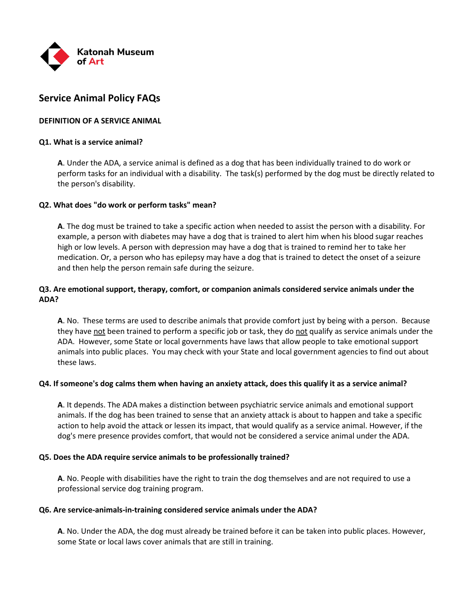

# **Service Animal Policy FAQs**

# **DEFINITION OF A SERVICE ANIMAL**

## **Q1. What is a service animal?**

**A**. Under the ADA, a service animal is defined as a dog that has been individually trained to do work or perform tasks for an individual with a disability. The task(s) performed by the dog must be directly related to the person's disability.

## **Q2. What does "do work or perform tasks" mean?**

**A**. The dog must be trained to take a specific action when needed to assist the person with a disability. For example, a person with diabetes may have a dog that is trained to alert him when his blood sugar reaches high or low levels. A person with depression may have a dog that is trained to remind her to take her medication. Or, a person who has epilepsy may have a dog that is trained to detect the onset of a seizure and then help the person remain safe during the seizure.

# **Q3. Are emotional support, therapy, comfort, or companion animals considered service animals under the ADA?**

**A**. No. These terms are used to describe animals that provide comfort just by being with a person. Because they have not been trained to perform a specific job or task, they do not qualify as service animals under the ADA. However, some State or local governments have laws that allow people to take emotional support animals into public places. You may check with your State and local government agencies to find out about these laws.

### **Q4. If someone's dog calms them when having an anxiety attack, does this qualify it as a service animal?**

**A**. It depends. The ADA makes a distinction between psychiatric service animals and emotional support animals. If the dog has been trained to sense that an anxiety attack is about to happen and take a specific action to help avoid the attack or lessen its impact, that would qualify as a service animal. However, if the dog's mere presence provides comfort, that would not be considered a service animal under the ADA.

### **Q5. Does the ADA require service animals to be professionally trained?**

**A**. No. People with disabilities have the right to train the dog themselves and are not required to use a professional service dog training program.

### **Q6. Are service-animals-in-training considered service animals under the ADA?**

**A**. No. Under the ADA, the dog must already be trained before it can be taken into public places. However, some State or local laws cover animals that are still in training.